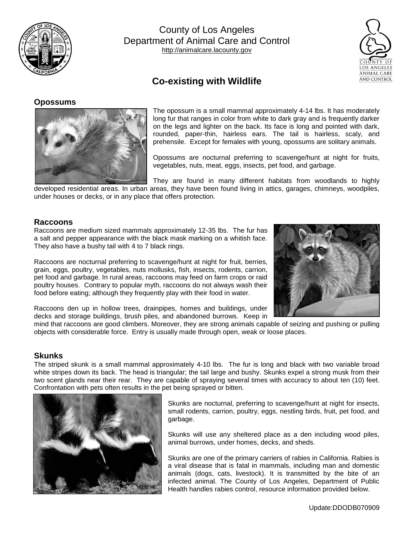

County of Los Angeles Department of Animal Care and Control [http://animalcare.lacounty.gov](http://animalcare.lacounty.gov/)



# **Co-existing with Wildlife**

## **Opossums**



The opossum is a small mammal approximately 4-14 lbs. It has moderately long fur that ranges in color from white to dark gray and is frequently darker on the legs and lighter on the back. Its face is long and pointed with dark, rounded, paper-thin, hairless ears. The tail is hairless, scaly, and prehensile. Except for females with young, opossums are solitary animals.

Opossums are nocturnal preferring to scavenge/hunt at night for fruits, vegetables, nuts, meat, eggs, insects, pet food, and garbage.

They are found in many different habitats from woodlands to highly

developed residential areas. In urban areas, they have been found living in attics, garages, chimneys, woodpiles, under houses or decks, or in any place that offers protection.

## **Raccoons**

Raccoons are medium sized mammals approximately 12-35 lbs. The fur has a salt and pepper appearance with the black mask marking on a whitish face. They also have a bushy tail with 4 to 7 black rings.

Raccoons are nocturnal preferring to scavenge/hunt at night for fruit, berries, grain, eggs, poultry, vegetables, nuts mollusks, fish, insects, rodents, carrion, pet food and garbage. In rural areas, raccoons may feed on farm crops or raid poultry houses. Contrary to popular myth, raccoons do not always wash their food before eating; although they frequently play with their food in water.



Raccoons den up in hollow trees, drainpipes, homes and buildings, under decks and storage buildings, brush piles, and abandoned burrows. Keep in

mind that raccoons are good climbers. Moreover, they are strong animals capable of seizing and pushing or pulling objects with considerable force. Entry is usually made through open, weak or loose places.

## **Skunks**

The striped skunk is a small mammal approximately 4-10 lbs. The fur is long and black with two variable broad white stripes down its back. The head is triangular; the tail large and bushy. Skunks expel a strong musk from their two scent glands near their rear. They are capable of spraying several times with accuracy to about ten (10) feet. Confrontation with pets often results in the pet being sprayed or bitten.



Skunks are nocturnal, preferring to scavenge/hunt at night for insects, small rodents, carrion, poultry, eggs, nestling birds, fruit, pet food, and garbage.

Skunks will use any sheltered place as a den including wood piles, animal burrows, under homes, decks, and sheds.

Skunks are one of the primary carriers of rabies in California. Rabies is a viral disease that is fatal in mammals, including man and domestic animals (dogs, cats, livestock). It is transmitted by the bite of an infected animal. The County of Los Angeles, Department of Public Health handles rabies control, resource information provided below.